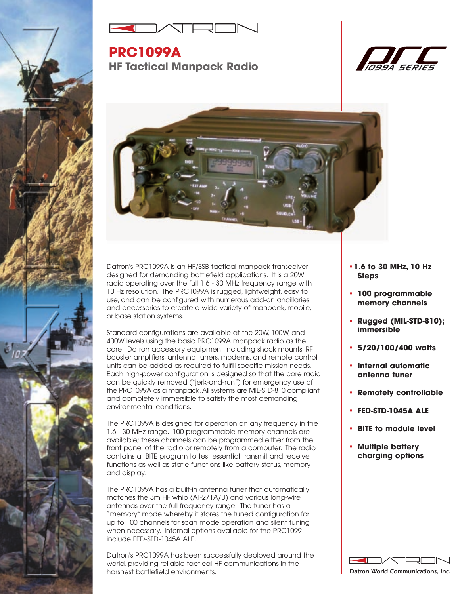



**PRC1099A HF Tactical Manpack Radio**





Datron's PRC1099A is an HF/SSB tactical manpack transceiver designed for demanding battlefield applications. It is a 20W radio operating over the full 1.6 - 30 MHz frequency range with 10 Hz resolution. The PRC1099A is rugged, lightweight, easy to use, and can be configured with numerous add-on ancillaries and accessories to create a wide variety of manpack, mobile, or base station systems.

Standard configurations are available at the 20W, 100W, and 400W levels using the basic PRC1099A manpack radio as the core. Datron accessory equipment including shock mounts, RF booster amplifiers, antenna tuners, modems, and remote control units can be added as required to fulfill specific mission needs. Each high-power configuration is designed so that the core radio can be quickly removed ("jerk-and-run") for emergency use of the PRC1099A as a manpack.All systems are MIL-STD-810 compliant and completely immersible to satisfy the most demanding environmental conditions.

The PRC1099A is designed for operation on any frequency in the 1.6 - 30 MHz range. 100 programmable memory channels are available; these channels can be programmed either from the front panel of the radio or remotely from a computer. The radio contains a BITE program to test essential transmit and receive functions as well as static functions like battery status, memory and display.

The PRC1099A has a built-in antenna tuner that automatically matches the 3m HF whip (AT-271A/U) and various long-wire antennas over the full frequency range. The tuner has a "memory" mode whereby it stores the tuned configuration for up to 100 channels for scan mode operation and silent tuning when necessary. Internal options available for the PRC1099 include FED-STD-1045A ALE.

Datron's PRC1099A has been successfully deployed around the world, providing reliable tactical HF communications in the harshest battlefield environments.

- **•1.6 to 30 MHz, 10 Hz Steps**
- **• 100 programmable memory channels**
- **• Rugged (MIL-STD-810); immersible**
- **• 5/20/100/400 watts**
- **• Internal automatic antenna tuner**
- **• Remotely controllable**
- **• FED-STD-1045A ALE**
- **• BITE to module level**
- **• Multiple battery charging options**



*Datron World Communications, Inc.*